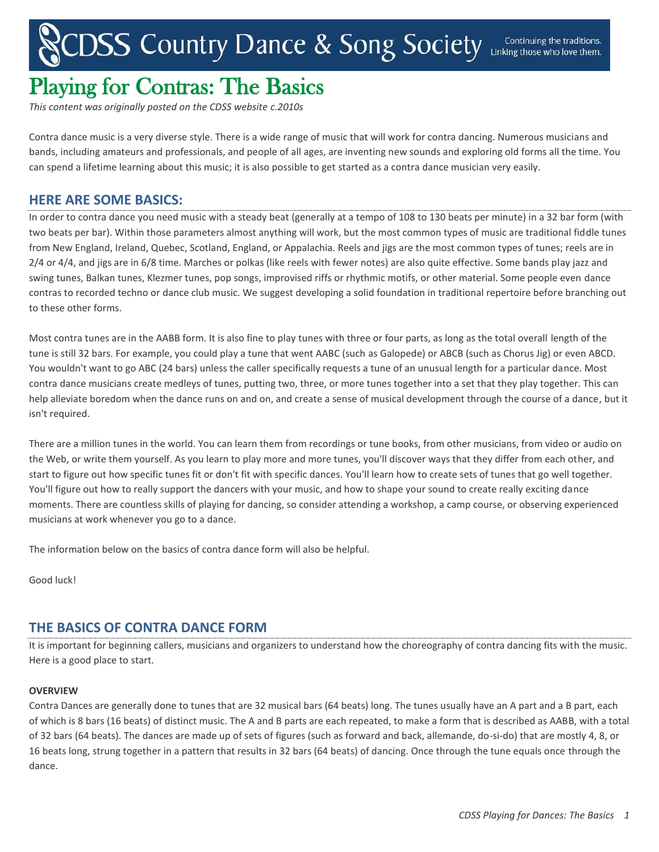# CDSS Country Dance & Song Society Linking those who love them.

# Playing for Contras: The Basics

*This content was originally posted on the CDSS website c.2010s*

Contra dance music is a very diverse style. There is a wide range of music that will work for contra dancing. Numerous musicians and bands, including amateurs and professionals, and people of all ages, are inventing new sounds and exploring old forms all the time. You can spend a lifetime learning about this music; it is also possible to get started as a contra dance musician very easily.

### **HERE ARE SOME BASICS:**

In order to contra dance you need music with a steady beat (generally at a tempo of 108 to 130 beats per minute) in a 32 bar form (with two beats per bar). Within those parameters almost anything will work, but the most common types of music are traditional fiddle tunes from New England, Ireland, Quebec, Scotland, England, or Appalachia. Reels and jigs are the most common types of tunes; reels are in 2/4 or 4/4, and jigs are in 6/8 time. Marches or polkas (like reels with fewer notes) are also quite effective. Some bands play jazz and swing tunes, Balkan tunes, Klezmer tunes, pop songs, improvised riffs or rhythmic motifs, or other material. Some people even dance contras to recorded techno or dance club music. We suggest developing a solid foundation in traditional repertoire before branching out to these other forms.

Most contra tunes are in the AABB form. It is also fine to play tunes with three or four parts, as long as the total overall length of the tune is still 32 bars. For example, you could play a tune that went AABC (such as Galopede) or ABCB (such as Chorus Jig) or even ABCD. You wouldn't want to go ABC (24 bars) unless the caller specifically requests a tune of an unusual length for a particular dance. Most contra dance musicians create medleys of tunes, putting two, three, or more tunes together into a set that they play together. This can help alleviate boredom when the dance runs on and on, and create a sense of musical development through the course of a dance, but it isn't required.

There are a million tunes in the world. You can learn them from recordings or tune books, from other musicians, from video or audio on the Web, or write them yourself. As you learn to play more and more tunes, you'll discover ways that they differ from each other, and start to figure out how specific tunes fit or don't fit with specific dances. You'll learn how to create sets of tunes that go well together. You'll figure out how to really support the dancers with your music, and how to shape your sound to create really exciting dance moments. There are countless skills of playing for dancing, so consider attending a workshop, a camp course, or observing experienced musicians at work whenever you go to a dance.

The information below on the basics of contra dance form will also be helpful.

Good luck!

## **THE BASICS OF CONTRA DANCE FORM**

It is important for beginning callers, musicians and organizers to understand how the choreography of contra dancing fits with the music. Here is a good place to start.

#### **OVERVIEW**

Contra Dances are generally done to tunes that are 32 musical bars (64 beats) long. The tunes usually have an A part and a B part, each of which is 8 bars (16 beats) of distinct music. The A and B parts are each repeated, to make a form that is described as AABB, with a total of 32 bars (64 beats). The dances are made up of sets of figures (such as forward and back, allemande, do-si-do) that are mostly 4, 8, or 16 beats long, strung together in a pattern that results in 32 bars (64 beats) of dancing. Once through the tune equals once through the dance.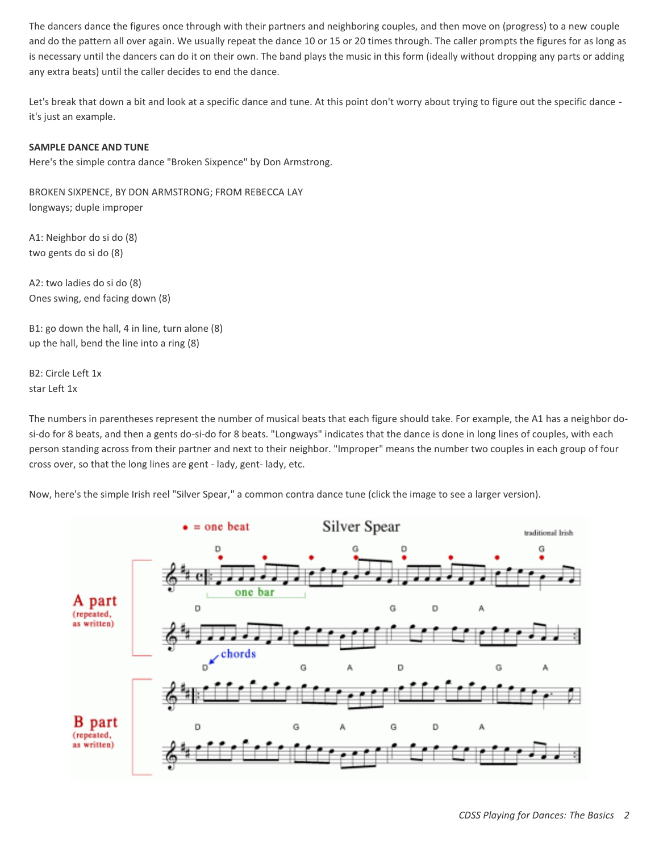The dancers dance the figures once through with their partners and neighboring couples, and then move on (progress) to a new couple and do the pattern all over again. We usually repeat the dance 10 or 15 or 20 times through. The caller prompts the figures for as long as is necessary until the dancers can do it on their own. The band plays the music in this form (ideally without dropping any parts or adding any extra beats) until the caller decides to end the dance.

Let's break that down a bit and look at a specific dance and tune. At this point don't worry about trying to figure out the specific dance it's just an example.

#### **SAMPLE DANCE AND TUNE**

Here's the simple contra dance "Broken Sixpence" by Don Armstrong.

BROKEN SIXPENCE, BY DON ARMSTRONG; FROM REBECCA LAY longways; duple improper

A1: Neighbor do si do (8) two gents do si do (8)

A2: two ladies do si do (8) Ones swing, end facing down (8)

B1: go down the hall, 4 in line, turn alone (8) up the hall, bend the line into a ring (8)

B2: Circle Left 1x star Left 1x

The numbers in parentheses represent the number of musical beats that each figure should take. For example, the A1 has a neighbor dosi-do for 8 beats, and then a gents do-si-do for 8 beats. "Longways" indicates that the dance is done in long lines of couples, with each person standing across from their partner and next to their neighbor. "Improper" means the number two couples in each group of four cross over, so that the long lines are gent - lady, gent- lady, etc.

Now, here's the simple Irish reel "Silver Spear," a common contra dance tune (click the image to see a larger version).